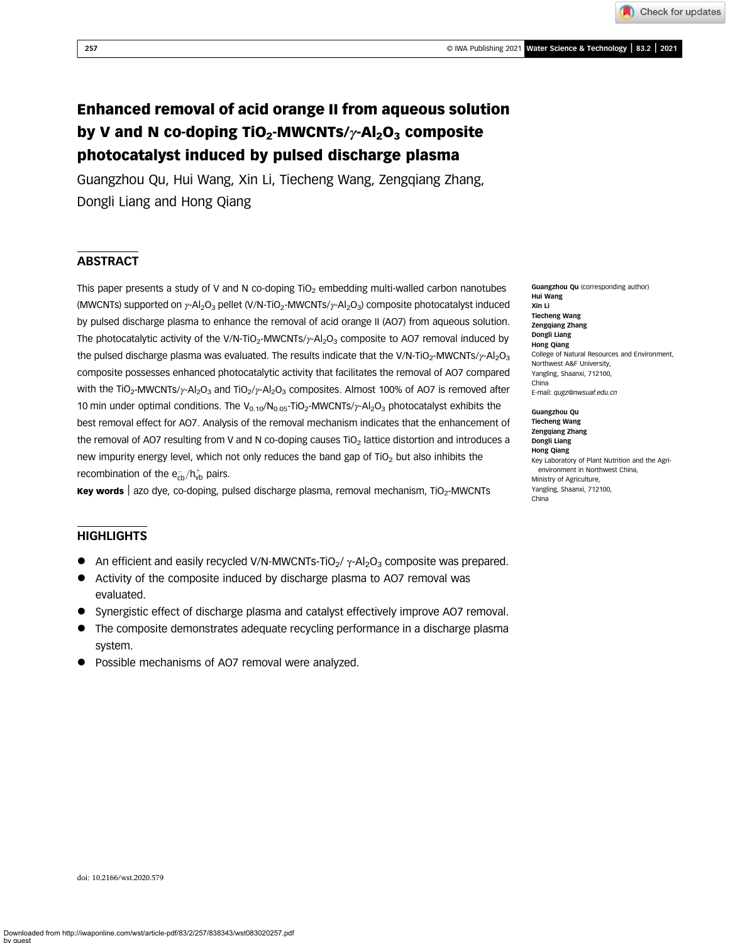257 © IWA Publishing 2021 Water Science & Technology | 83.2 | 2021

Check for updates

Guangzhou Qu, Hui Wang, Xin Li, Tiecheng Wang, Zengqiang Zhang, Dongli Liang and Hong Qiang

# **ABSTRACT**

This paper presents a study of V and N co-doping  $TiO<sub>2</sub>$  embedding multi-walled carbon nanotubes (MWCNTs) supported on γ-Al<sub>2</sub>O<sub>3</sub> pellet (V/N-TiO<sub>2</sub>-MWCNTs/γ-Al<sub>2</sub>O<sub>3</sub>) composite photocatalyst induced by pulsed discharge plasma to enhance the removal of acid orange II (AO7) from aqueous solution. The photocatalytic activity of the V/N-TiO<sub>2</sub>-MWCNTs/ $\gamma$ -Al<sub>2</sub>O<sub>3</sub> composite to AO7 removal induced by the pulsed discharge plasma was evaluated. The results indicate that the V/N-TiO<sub>2</sub>-MWCNTs/ $\gamma$ -Al<sub>2</sub>O<sub>3</sub> composite possesses enhanced photocatalytic activity that facilitates the removal of AO7 compared with the TiO<sub>2</sub>-MWCNTs/ $\gamma$ -Al<sub>2</sub>O<sub>3</sub> and TiO<sub>2</sub>/ $\gamma$ -Al<sub>2</sub>O<sub>3</sub> composites. Almost 100% of AO7 is removed after 10 min under optimal conditions. The V<sub>0.10</sub>/N<sub>0.05</sub>-TiO<sub>2</sub>-MWCNTs/ $\gamma$ -Al<sub>2</sub>O<sub>3</sub> photocatalyst exhibits the best removal effect for AO7. Analysis of the removal mechanism indicates that the enhancement of the removal of AO7 resulting from V and N co-doping causes TiO<sub>2</sub> lattice distortion and introduces a new impurity energy level, which not only reduces the band gap of  $TiO<sub>2</sub>$  but also inhibits the recombination of the  $\mathrm{e_{cb}^-}/\mathrm{h_{vb}^+}$  pairs.

Key words a azo dye, co-doping, pulsed discharge plasma, removal mechanism, TiO<sub>2</sub>-MWCNTs

## **HIGHLIGHTS**

- An efficient and easily recycled V/N-MWCNTs-TiO<sub>2</sub>/  $\gamma$ -Al<sub>2</sub>O<sub>3</sub> composite was prepared.
- Activity of the composite induced by discharge plasma to AO7 removal was evaluated.
- Synergistic effect of discharge plasma and catalyst effectively improve AO7 removal.
- The composite demonstrates adequate recycling performance in a discharge plasma system.
- Possible mechanisms of AO7 removal were analyzed.

Guangzhou Qu (corresponding author) Hui Wang Xin Li Tiecheng Wang Zengqiang Zhang Dongli Liang Hong Qiang College of Natural Resources and Environment, Northwest A&F University, Yangling, Shaanxi, 712100, China E-mail: [qugz@nwsuaf.edu.cn](mailto:qugz@nwsuaf.edu.cn)

Guangzhou Qu Tiecheng Wang Zengqiang Zhang Dongli Liang Hong Qiang Key Laboratory of Plant Nutrition and the Agrienvironment in Northwest China, Ministry of Agriculture, Yangling, Shaanxi, 712100, China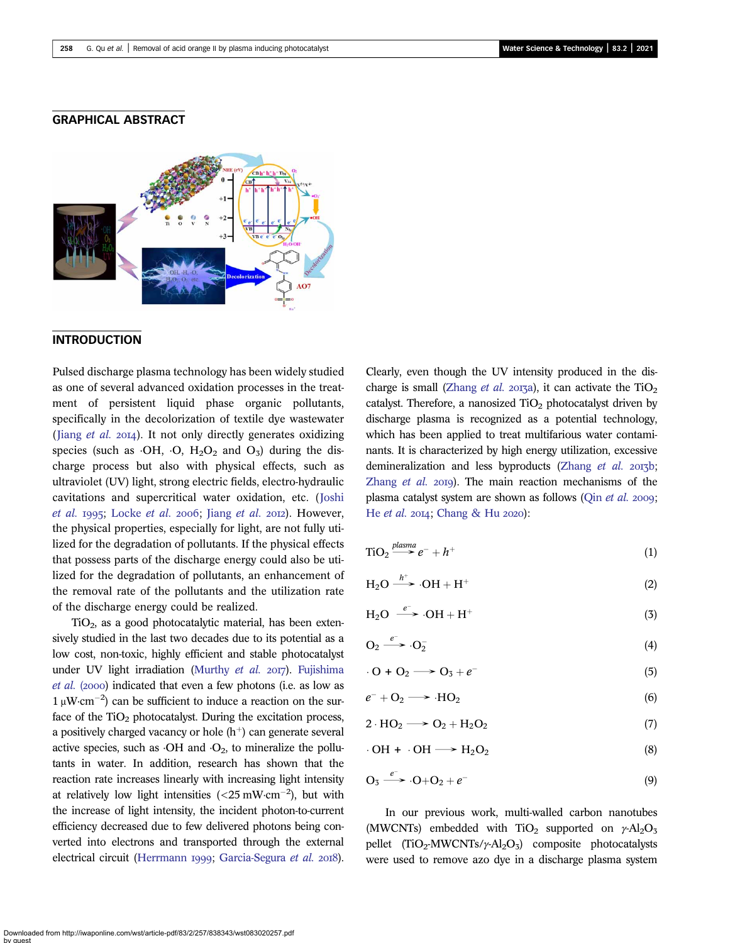### GRAPHICAL ABSTRACT



## INTRODUCTION

Pulsed discharge plasma technology has been widely studied as one of several advanced oxidation processes in the treatment of persistent liquid phase organic pollutants, specifically in the decolorization of textile dye wastewater (Jiang  $et$   $al.$   $2014$ ). It not only directly generates oxidizing species (such as  $\cdot$ OH,  $\cdot$ O, H<sub>2</sub>O<sub>2</sub> and O<sub>3</sub>) during the discharge process but also with physical effects, such as ultraviolet (UV) light, strong electric fields, electro-hydraulic cavitations and supercritical water oxidation, etc. ([Joshi](#page-13-0) [et al.](#page-13-0) 1995; [Locke](#page-13-0) et al. 2006; Jiang et al. 2012). However, the physical properties, especially for light, are not fully utilized for the degradation of pollutants. If the physical effects that possess parts of the discharge energy could also be utilized for the degradation of pollutants, an enhancement of the removal rate of the pollutants and the utilization rate of the discharge energy could be realized.

 $TiO<sub>2</sub>$ , as a good photocatalytic material, has been extensively studied in the last two decades due to its potential as a low cost, non-toxic, highly efficient and stable photocatalyst under UV light irradiation [\(Murthy](#page-13-0) et al.  $2017$ ). [Fujishima](#page-12-0) [et al.](#page-12-0) (2000) indicated that even a few photons (i.e. as low as  $1 \mu W \cdot cm^{-2}$ ) can be sufficient to induce a reaction on the surface of the  $TiO<sub>2</sub>$  photocatalyst. During the excitation process, a positively charged vacancy or hole  $(h<sup>+</sup>)$  can generate several active species, such as  $\cdot$ OH and  $\cdot$ O<sub>2</sub>, to mineralize the pollutants in water. In addition, research has shown that the reaction rate increases linearly with increasing light intensity at relatively low light intensities  $\left( < 25 \text{ mW} \cdot \text{cm}^{-2} \right)$ , but with the increase of light intensity, the incident photon-to-current efficiency decreased due to few delivered photons being converted into electrons and transported through the external electrical circuit ([Herrmann](#page-12-0) 1999; [Garcia-Segura](#page-12-0) et al. 2018).

Clearly, even though the UV intensity produced in the dis-charge is small [\(Zhang](#page-13-0) et al. 2013a), it can activate the  $TiO<sub>2</sub>$ catalyst. Therefore, a nanosized  $TiO<sub>2</sub>$  photocatalyst driven by discharge plasma is recognized as a potential technology, which has been applied to treat multifarious water contaminants. It is characterized by high energy utilization, excessive demineralization and less byproducts [\(Zhang](#page-13-0) et al. 2013b; [Zhang](#page-13-0)  $et$   $al.$   $20I9$ ). The main reaction mechanisms of the plasma catalyst system are shown as follows (Qin [et al.](#page-13-0) 2009; He [et al.](#page-12-0)  $2014$ ; [Chang & Hu](#page-12-0)  $2020$ ):

$$
TiO2 \xrightarrow{plasma} e^- + h^+ \tag{1}
$$

$$
H_2O \xrightarrow{h^+} OH + H^+ \tag{2}
$$

$$
H_2O \stackrel{e^-}{\longrightarrow} OH + H^+ \tag{3}
$$

$$
O_2 \xrightarrow{e^-} O_2^- \tag{4}
$$

$$
0 + O_2 \longrightarrow O_3 + e^-
$$
 (5)

$$
e^- + O_2 \longrightarrow \cdot HO_2 \tag{6}
$$

$$
2 \cdot HO_2 \longrightarrow O_2 + H_2O_2 \tag{7}
$$

$$
\cdot \text{OH} + \cdot \text{OH} \longrightarrow \text{H}_2\text{O}_2 \tag{8}
$$

$$
O_3 \stackrel{e^-}{\longrightarrow} O + O_2 + e^-
$$
\n(9)

In our previous work, multi-walled carbon nanotubes (MWCNTs) embedded with TiO<sub>2</sub> supported on  $\gamma$ -Al<sub>2</sub>O<sub>3</sub> pellet  $(TiO_2\text{-}MWCNTs/\gamma\text{-}Al_2O_3)$  composite photocatalysts were used to remove azo dye in a discharge plasma system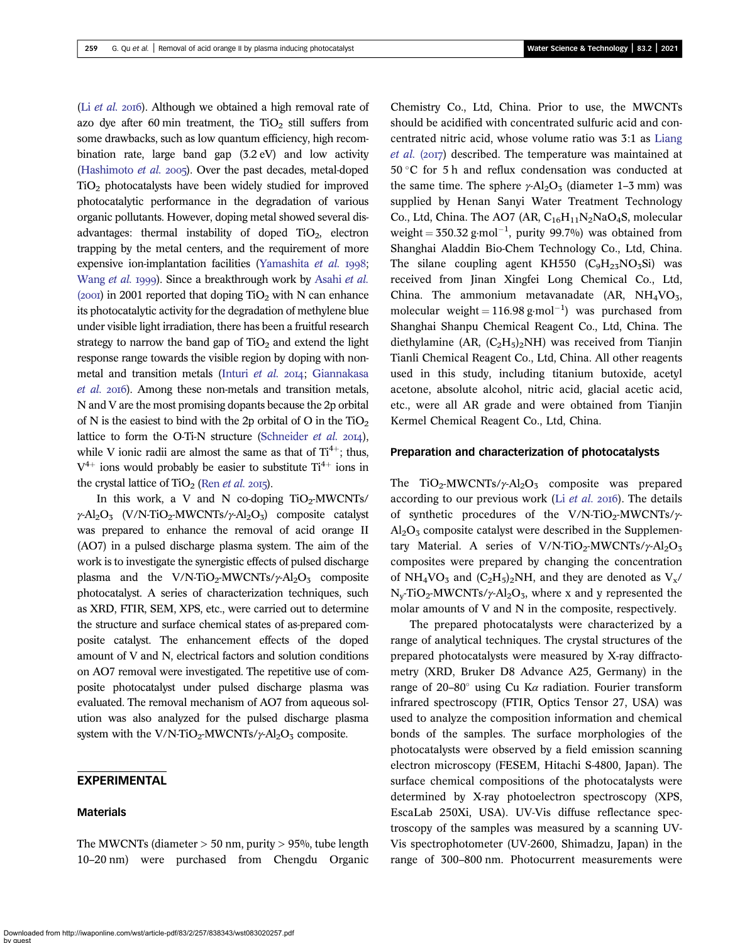(Li  $et$  al. 2016). Although we obtained a high removal rate of azo dye after 60 min treatment, the  $TiO<sub>2</sub>$  still suffers from some drawbacks, such as low quantum efficiency, high recombination rate, large band gap (3.2 eV) and low activity [\(Hashimoto](#page-12-0)  $et$  al. 2005). Over the past decades, metal-doped TiO2 photocatalysts have been widely studied for improved photocatalytic performance in the degradation of various organic pollutants. However, doping metal showed several disadvantages: thermal instability of doped  $TiO<sub>2</sub>$ , electron trapping by the metal centers, and the requirement of more expensive ion-implantation facilities [\(Yamashita](#page-13-0) et al. 1998; [Wang](#page-13-0) et al. 1999). Since a breakthrough work by [Asahi](#page-12-0) et al. (2001) in 2001 reported that doping  $TiO<sub>2</sub>$  with N can enhance its photocatalytic activity for the degradation of methylene blue under visible light irradiation, there has been a fruitful research strategy to narrow the band gap of  $TiO<sub>2</sub>$  and extend the light response range towards the visible region by doping with non-metal and transition metals [\(Inturi](#page-12-0) et al. 2014; [Giannakasa](#page-12-0) [et al.](#page-12-0) 2016). Among these non-metals and transition metals, N and V are the most promising dopants because the 2p orbital of N is the easiest to bind with the 2p orbital of O in the  $TiO<sub>2</sub>$ lattice to form the O-Ti-N structure [\(Schneider](#page-13-0) et al.  $2014$ ), while V ionic radii are almost the same as that of  $Ti^{4+}$ ; thus,  $V^{4+}$  ions would probably be easier to substitute  $Ti^{4+}$  ions in the crystal lattice of  $TiO<sub>2</sub>$  (Ren *[et al.](#page-13-0)* 2015).

In this work, a V and N co-doping  $TiO<sub>2</sub>-MWCNTs/$  $\gamma$ -Al<sub>2</sub>O<sub>3</sub> (V/N-TiO<sub>2</sub>-MWCNTs/ $\gamma$ -Al<sub>2</sub>O<sub>3</sub>) composite catalyst was prepared to enhance the removal of acid orange II (AO7) in a pulsed discharge plasma system. The aim of the work is to investigate the synergistic effects of pulsed discharge plasma and the V/N-TiO<sub>2</sub>-MWCNTs/ $\gamma$ -Al<sub>2</sub>O<sub>3</sub> composite photocatalyst. A series of characterization techniques, such as XRD, FTIR, SEM, XPS, etc., were carried out to determine the structure and surface chemical states of as-prepared composite catalyst. The enhancement effects of the doped amount of V and N, electrical factors and solution conditions on AO7 removal were investigated. The repetitive use of composite photocatalyst under pulsed discharge plasma was evaluated. The removal mechanism of AO7 from aqueous solution was also analyzed for the pulsed discharge plasma system with the V/N-TiO<sub>2</sub>-MWCNTs/ $\gamma$ -Al<sub>2</sub>O<sub>3</sub> composite.

## EXPERIMENTAL

#### Materials

The MWCNTs (diameter  $> 50$  nm, purity  $> 95\%$ , tube length 10–20 nm) were purchased from Chengdu Organic Chemistry Co., Ltd, China. Prior to use, the MWCNTs should be acidified with concentrated sulfuric acid and concentrated nitric acid, whose volume ratio was 3:1 as [Liang](#page-13-0)  $et$  al. (2017) described. The temperature was maintained at  $50^{\circ}$ C for 5 h and reflux condensation was conducted at the same time. The sphere  $\gamma$ -Al<sub>2</sub>O<sub>3</sub> (diameter 1–3 mm) was supplied by Henan Sanyi Water Treatment Technology Co., Ltd, China. The AO7 (AR,  $C_{16}H_{11}N_2NaO_4S$ , molecular weight  $= 350.32$  g·mol<sup>-1</sup>, purity 99.7%) was obtained from Shanghai Aladdin Bio-Chem Technology Co., Ltd, China. The silane coupling agent KH550  $(C_9H_{23}NO_3Si)$  was received from Jinan Xingfei Long Chemical Co., Ltd, China. The ammonium metavanadate  $(AR, NH<sub>4</sub>VO<sub>3</sub>)$ molecular weight =  $116.98$  g·mol<sup>-1</sup>) was purchased from Shanghai Shanpu Chemical Reagent Co., Ltd, China. The diethylamine (AR,  $(C_2H_5)_2NH$ ) was received from Tianjin Tianli Chemical Reagent Co., Ltd, China. All other reagents used in this study, including titanium butoxide, acetyl acetone, absolute alcohol, nitric acid, glacial acetic acid, etc., were all AR grade and were obtained from Tianjin Kermel Chemical Reagent Co., Ltd, China.

#### Preparation and characterization of photocatalysts

The TiO<sub>2</sub>-MWCNTs/ $\gamma$ -Al<sub>2</sub>O<sub>3</sub> composite was prepared according to our previous work (Li  $et$  al. 2016). The details of synthetic procedures of the V/N-TiO<sub>2</sub>-MWCNTs/ $\gamma$ - $Al_2O_3$  composite catalyst were described in the Supplementary Material. A series of V/N-TiO<sub>2</sub>-MWCNTs/ $\gamma$ -Al<sub>2</sub>O<sub>3</sub> composites were prepared by changing the concentration of NH<sub>4</sub>VO<sub>3</sub> and  $(C_2H_5)_2$ NH, and they are denoted as  $V_x/$  $N_v$ -TiO<sub>2</sub>-MWCNTs/ $\gamma$ -Al<sub>2</sub>O<sub>3</sub>, where x and y represented the molar amounts of V and N in the composite, respectively.

The prepared photocatalysts were characterized by a range of analytical techniques. The crystal structures of the prepared photocatalysts were measured by X-ray diffractometry (XRD, Bruker D8 Advance A25, Germany) in the range of 20–80 $^{\circ}$  using Cu Ka radiation. Fourier transform infrared spectroscopy (FTIR, Optics Tensor 27, USA) was used to analyze the composition information and chemical bonds of the samples. The surface morphologies of the photocatalysts were observed by a field emission scanning electron microscopy (FESEM, Hitachi S-4800, Japan). The surface chemical compositions of the photocatalysts were determined by X-ray photoelectron spectroscopy (XPS, EscaLab 250Xi, USA). UV-Vis diffuse reflectance spectroscopy of the samples was measured by a scanning UV-Vis spectrophotometer (UV-2600, Shimadzu, Japan) in the range of 300–800 nm. Photocurrent measurements were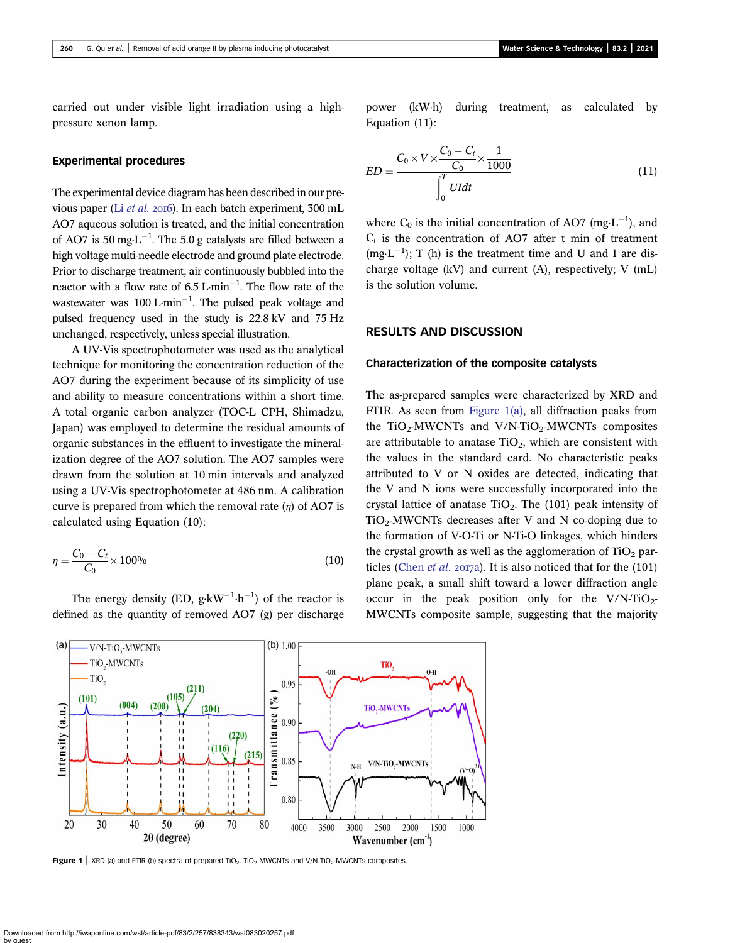<span id="page-3-0"></span>carried out under visible light irradiation using a highpressure xenon lamp.

#### Experimental procedures

The experimental device diagram has been described in our previous paper (Li [et al.](#page-13-0) 2016). In each batch experiment, 300 mL AO7 aqueous solution is treated, and the initial concentration of AO7 is 50 mg·L<sup>-1</sup>. The 5.0 g catalysts are filled between a high voltage multi-needle electrode and ground plate electrode. Prior to discharge treatment, air continuously bubbled into the reactor with a flow rate of  $6.5 \text{ L} \cdot \text{min}^{-1}$ . The flow rate of the wastewater was  $100 \text{ L} \cdot \text{min}^{-1}$ . The pulsed peak voltage and pulsed frequency used in the study is 22.8 kV and 75 Hz unchanged, respectively, unless special illustration.

A UV-Vis spectrophotometer was used as the analytical technique for monitoring the concentration reduction of the AO7 during the experiment because of its simplicity of use and ability to measure concentrations within a short time. A total organic carbon analyzer (TOC-L CPH, Shimadzu, Japan) was employed to determine the residual amounts of organic substances in the effluent to investigate the mineralization degree of the AO7 solution. The AO7 samples were drawn from the solution at 10 min intervals and analyzed using a UV-Vis spectrophotometer at 486 nm. A calibration curve is prepared from which the removal rate  $(\eta)$  of AO7 is calculated using Equation (10):

$$
\eta = \frac{C_0 - C_t}{C_0} \times 100\%
$$
\n(10)

The energy density (ED,  $g \cdot kW^{-1} \cdot h^{-1}$ ) of the reactor is defined as the quantity of removed AO7 (g) per discharge power (kW·h) during treatment, as calculated by Equation (11):

$$
ED = \frac{C_0 \times V \times \frac{C_0 - C_t}{C_0} \times \frac{1}{1000}}{\int_0^T Uldt}
$$
(11)

where  $C_0$  is the initial concentration of AO7 (mg·L<sup>-1</sup>), and  $C<sub>t</sub>$  is the concentration of AO7 after t min of treatment  $(mg \cdot L^{-1})$ ; T (h) is the treatment time and U and I are discharge voltage (kV) and current (A), respectively; V (mL) is the solution volume.

# RESULTS AND DISCUSSION

#### Characterization of the composite catalysts

The as-prepared samples were characterized by XRD and FTIR. As seen from Figure 1(a), all diffraction peaks from the TiO<sub>2</sub>-MWCNTs and V/N-TiO<sub>2</sub>-MWCNTs composites are attributable to anatase  $TiO<sub>2</sub>$ , which are consistent with the values in the standard card. No characteristic peaks attributed to V or N oxides are detected, indicating that the V and N ions were successfully incorporated into the crystal lattice of anatase  $TiO<sub>2</sub>$ . The (101) peak intensity of  $TiO<sub>2</sub>-MWCNTs$  decreases after V and N co-doping due to the formation of V-O-Ti or N-Ti-O linkages, which hinders the crystal growth as well as the agglomeration of  $TiO<sub>2</sub>$  par-ticles [\(Chen](#page-12-0) et al. 2017a). It is also noticed that for the  $(101)$ plane peak, a small shift toward a lower diffraction angle occur in the peak position only for the  $V/N-TiO<sub>2</sub>$ -MWCNTs composite sample, suggesting that the majority



 $(b) 1.00$ 

TiO,

**Figure 1** | XRD (a) and FTIR (b) spectra of prepared  $TiO<sub>2</sub>$ ,  $TiO<sub>2</sub>$ -MWCNTs and V/N-TiO<sub>2</sub>-MWCNTs composites.

 $(a)$ 

-V/N-TiO<sub>2</sub>-MWCNTs TiO<sub>2</sub>-MWCNTs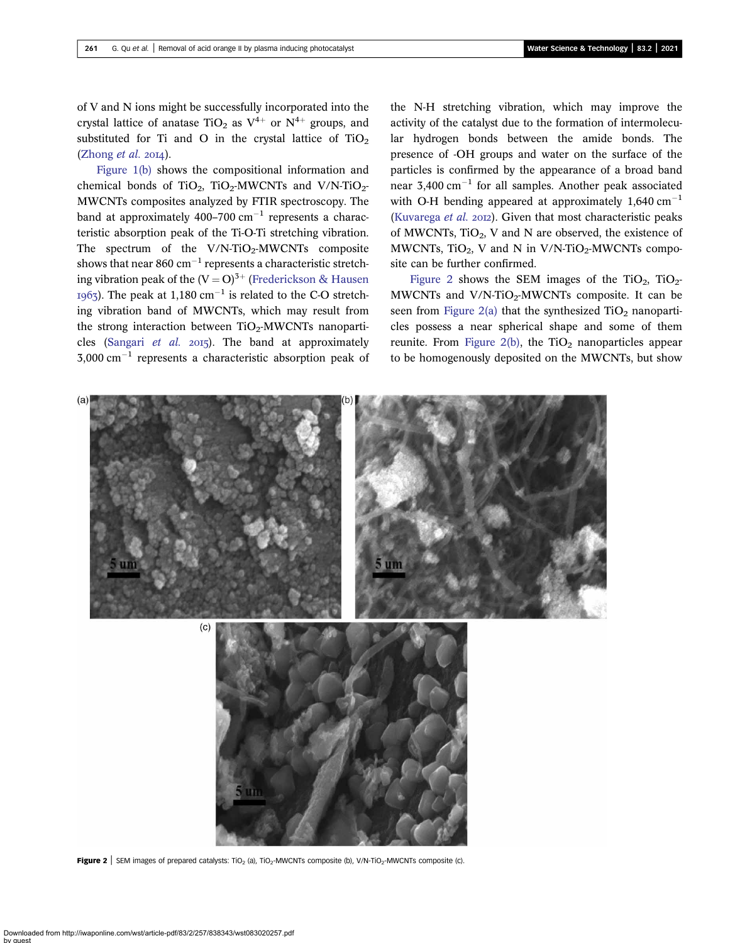<span id="page-4-0"></span>of V and N ions might be successfully incorporated into the crystal lattice of anatase TiO<sub>2</sub> as  $V^{4+}$  or  $N^{4+}$  groups, and substituted for Ti and O in the crystal lattice of  $TiO<sub>2</sub>$  $(Zhong et al. 2014).$  $(Zhong et al. 2014).$ 

[Figure 1\(b\)](#page-3-0) shows the compositional information and chemical bonds of TiO<sub>2</sub>, TiO<sub>2</sub>-MWCNTs and V/N-TiO<sub>2</sub>-MWCNTs composites analyzed by FTIR spectroscopy. The band at approximately 400–700  $\text{cm}^{-1}$  represents a characteristic absorption peak of the Ti-O-Ti stretching vibration. The spectrum of the  $V/N$ -TiO<sub>2</sub>-MWCNTs composite shows that near 860  $cm^{-1}$  represents a characteristic stretching vibration peak of the  $(V = O)^{3+}$  [\(Frederickson & Hausen](#page-12-0) 1963). The peak at 1,180 cm<sup>-1</sup> is related to the C-O stretching vibration band of MWCNTs, which may result from the strong interaction between  $TiO<sub>2</sub>$ -MWCNTs nanoparti-cles [\(Sangari](#page-13-0) et al.  $2015$ ). The band at approximately  $3.000 \text{ cm}^{-1}$  represents a characteristic absorption peak of the N-H stretching vibration, which may improve the activity of the catalyst due to the formation of intermolecular hydrogen bonds between the amide bonds. The presence of -OH groups and water on the surface of the particles is confirmed by the appearance of a broad band near  $3,400 \text{ cm}^{-1}$  for all samples. Another peak associated with O-H bending appeared at approximately  $1,640 \text{ cm}^{-1}$ [\(Kuvarega](#page-13-0) et al. 2012). Given that most characteristic peaks of MWCNTs,  $TiO<sub>2</sub>$ , V and N are observed, the existence of MWCNTs,  $TiO<sub>2</sub>$ , V and N in V/N-TiO<sub>2</sub>-MWCNTs composite can be further confirmed.

Figure 2 shows the SEM images of the TiO<sub>2</sub>, TiO<sub>2</sub>-MWCNTs and  $V/N$ -TiO<sub>2</sub>-MWCNTs composite. It can be seen from Figure 2(a) that the synthesized  $TiO<sub>2</sub>$  nanoparticles possess a near spherical shape and some of them reunite. From Figure  $2(b)$ , the TiO<sub>2</sub> nanoparticles appear to be homogenously deposited on the MWCNTs, but show



**Figure 2** | SEM images of prepared catalysts: TiO<sub>2</sub> (a), TiO<sub>2</sub>-MWCNTs composite (b), V/N-TiO<sub>2</sub>-MWCNTs composite (c).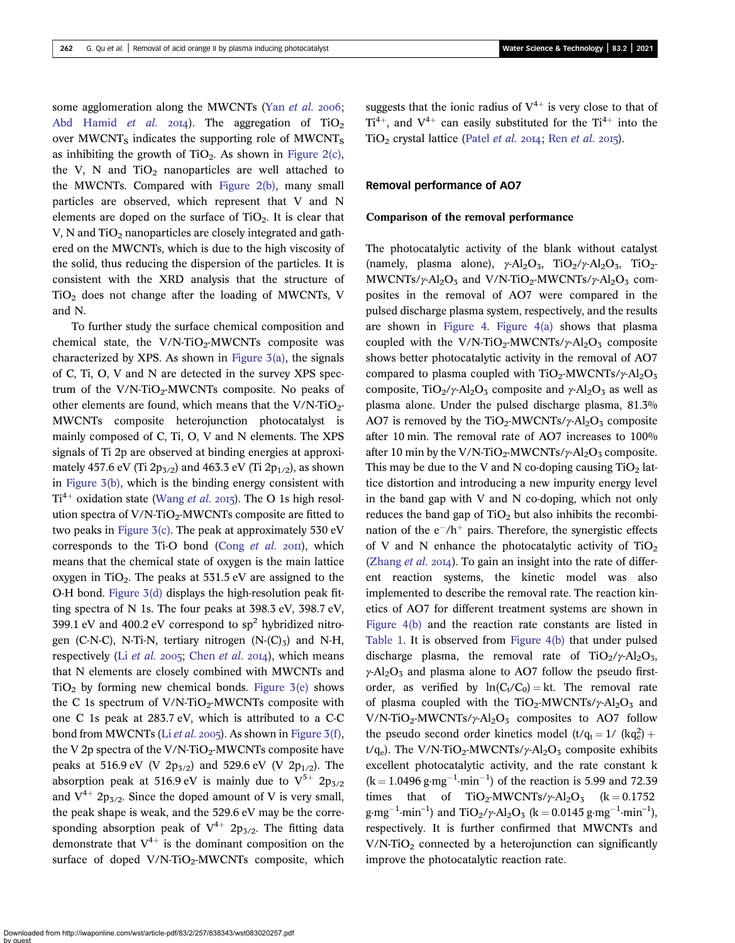some agglomeration along the MWCNTs (Yan [et al.](#page-13-0) 2006; [Abd Hamid](#page-12-0) *et al.* 2014). The aggregation of  $TiO<sub>2</sub>$ over  $MWCNT<sub>S</sub>$  indicates the supporting role of  $MWCNT<sub>S</sub>$ as inhibiting the growth of  $TiO<sub>2</sub>$ . As shown in [Figure 2\(c\)](#page-4-0), the V, N and  $TiO<sub>2</sub>$  nanoparticles are well attached to the MWCNTs. Compared with [Figure 2\(b\),](#page-4-0) many small particles are observed, which represent that V and N elements are doped on the surface of  $TiO<sub>2</sub>$ . It is clear that V, N and  $TiO<sub>2</sub>$  nanoparticles are closely integrated and gathered on the MWCNTs, which is due to the high viscosity of the solid, thus reducing the dispersion of the particles. It is consistent with the XRD analysis that the structure of  $TiO<sub>2</sub>$  does not change after the loading of MWCNTs, V and N.

To further study the surface chemical composition and chemical state, the  $V/N$ -TiO<sub>2</sub>-MWCNTs composite was characterized by XPS. As shown in Figure  $3(a)$ , the signals of C, Ti, O, V and N are detected in the survey XPS spectrum of the  $V/N$ -TiO<sub>2</sub>-MWCNTs composite. No peaks of other elements are found, which means that the  $V/N$ -TiO<sub>2</sub>-MWCNTs composite heterojunction photocatalyst is mainly composed of C, Ti, O, V and N elements. The XPS signals of Ti 2p are observed at binding energies at approximately 457.6 eV (Ti  $2p_{3/2}$ ) and 463.3 eV (Ti  $2p_{1/2}$ ), as shown in [Figure 3\(b\),](#page-6-0) which is the binding energy consistent with  $Ti^{4+}$  oxidation state [\(Wang](#page-13-0) *et al.* 2015). The O 1s high resolution spectra of  $V/N$ -TiO<sub>2</sub>-MWCNTs composite are fitted to two peaks in Figure  $3(c)$ . The peak at approximately 530 eV corresponds to the Ti-O bond (Cong  $et$  al. 2011), which means that the chemical state of oxygen is the main lattice oxygen in TiO<sub>2</sub>. The peaks at  $531.5$  eV are assigned to the O-H bond. [Figure 3\(d\)](#page-6-0) displays the high-resolution peak fitting spectra of N 1s. The four peaks at 398.3 eV, 398.7 eV, 399.1 eV and 400.2 eV correspond to  $sp^2$  hybridized nitrogen (C-N-C), N-Ti-N, tertiary nitrogen  $(N-(C)_3)$  and N-H, respectively (Li [et al.](#page-13-0) 2005; [Chen](#page-12-0) et al. 2014), which means that N elements are closely combined with MWCNTs and  $TiO<sub>2</sub>$  by forming new chemical bonds. Figure  $3(e)$  shows the C 1s spectrum of  $V/N$ -TiO<sub>2</sub>-MWCNTs composite with one C 1s peak at 283.7 eV, which is attributed to a C-C bond from MWCNTs (Li [et al.](#page-13-0) 2005). As shown in [Figure 3\(f\)](#page-6-0), the V 2p spectra of the V/N-TiO<sub>2</sub>-MWCNTs composite have peaks at 516.9 eV (V  $2p_{3/2}$ ) and 529.6 eV (V  $2p_{1/2}$ ). The absorption peak at 516.9 eV is mainly due to  $V^{5+}$  2p<sub>3/2</sub> and  $V^{4+}$  2p<sub>3/2</sub>. Since the doped amount of V is very small, the peak shape is weak, and the 529.6 eV may be the corresponding absorption peak of  $V^{4+}$  2p<sub>3/2</sub>. The fitting data demonstrate that  $V^{4+}$  is the dominant composition on the surface of doped  $V/N$ -TiO<sub>2</sub>-MWCNTs composite, which suggests that the ionic radius of  $V^{4+}$  is very close to that of  $Ti^{4+}$ , and  $V^{4+}$  can easily substituted for the  $Ti^{4+}$  into the  $TiO<sub>2</sub>$  crystal lattice [\(Patel](#page-13-0) [et al.](#page-13-0) 2014; Ren et al. 2015).

#### Removal performance of AO7

### Comparison of the removal performance

The photocatalytic activity of the blank without catalyst (namely, plasma alone),  $\gamma$ -Al<sub>2</sub>O<sub>3</sub>, TiO<sub>2</sub>/ $\gamma$ -Al<sub>2</sub>O<sub>3</sub>, TiO<sub>2</sub>-MWCNTs/ $\gamma$ -Al<sub>2</sub>O<sub>3</sub> and V/N-TiO<sub>2</sub>-MWCNTs/ $\gamma$ -Al<sub>2</sub>O<sub>3</sub> composites in the removal of AO7 were compared in the pulsed discharge plasma system, respectively, and the results are shown in [Figure 4.](#page-7-0) [Figure 4\(a\)](#page-7-0) shows that plasma coupled with the V/N-TiO<sub>2</sub>-MWCNTs/ $\gamma$ -Al<sub>2</sub>O<sub>3</sub> composite shows better photocatalytic activity in the removal of AO7 compared to plasma coupled with  $TiO<sub>2</sub>$ -MWCNTs/ $\gamma$ -Al<sub>2</sub>O<sub>3</sub> composite, TiO<sub>2</sub>/ $\gamma$ -Al<sub>2</sub>O<sub>3</sub> composite and  $\gamma$ -Al<sub>2</sub>O<sub>3</sub> as well as plasma alone. Under the pulsed discharge plasma, 81.3% AO7 is removed by the TiO<sub>2</sub>-MWCNTs/ $\gamma$ -Al<sub>2</sub>O<sub>3</sub> composite after 10 min. The removal rate of AO7 increases to 100% after 10 min by the V/N-TiO<sub>2</sub>-MWCNTs/ $\gamma$ -Al<sub>2</sub>O<sub>3</sub> composite. This may be due to the V and N co-doping causing  $TiO<sub>2</sub>$  lattice distortion and introducing a new impurity energy level in the band gap with V and N co-doping, which not only reduces the band gap of  $TiO<sub>2</sub>$  but also inhibits the recombination of the  $e^{-}/h^{+}$  pairs. Therefore, the synergistic effects of V and N enhance the photocatalytic activity of  $TiO<sub>2</sub>$ ([Zhang](#page-13-0)  $et$   $al.$  2014). To gain an insight into the rate of different reaction systems, the kinetic model was also implemented to describe the removal rate. The reaction kinetics of AO7 for different treatment systems are shown in [Figure 4\(b\)](#page-7-0) and the reaction rate constants are listed in [Table 1](#page-7-0). It is observed from [Figure 4\(b\)](#page-7-0) that under pulsed discharge plasma, the removal rate of TiO<sub>2</sub>/ $\gamma$ -Al<sub>2</sub>O<sub>3</sub>,  $\gamma$ -Al<sub>2</sub>O<sub>3</sub> and plasma alone to AO7 follow the pseudo firstorder, as verified by  $ln(C_t/C_0) = kt$ . The removal rate of plasma coupled with the TiO<sub>2</sub>-MWCNTs/ $\gamma$ -Al<sub>2</sub>O<sub>3</sub> and V/N-TiO<sub>2</sub>-MWCNTs/ $\gamma$ -Al<sub>2</sub>O<sub>3</sub> composites to AO7 follow the pseudo second order kinetics model  $(t/q_t = 1/(kq_e^2) +$ t/q<sub>e</sub>). The V/N-TiO<sub>2</sub>-MWCNTs/ $\gamma$ -Al<sub>2</sub>O<sub>3</sub> composite exhibits excellent photocatalytic activity, and the rate constant k  $(k = 1.0496 g·mg<sup>-1</sup>·min<sup>-1</sup>)$  of the reaction is 5.99 and 72.39 times that of TiO<sub>2</sub>-MWCNTs/ $\gamma$ -Al<sub>2</sub>O<sub>3</sub> (k = 0.1752)  $g \cdot mg^{-1} \cdot min^{-1}$  and  $TiO_2/\gamma$ -Al<sub>2</sub>O<sub>3</sub> (k = 0.0145 g $\cdot mg^{-1} \cdot min^{-1}$ ), respectively. It is further confirmed that MWCNTs and  $V/N$ -TiO<sub>2</sub> connected by a heterojunction can significantly improve the photocatalytic reaction rate.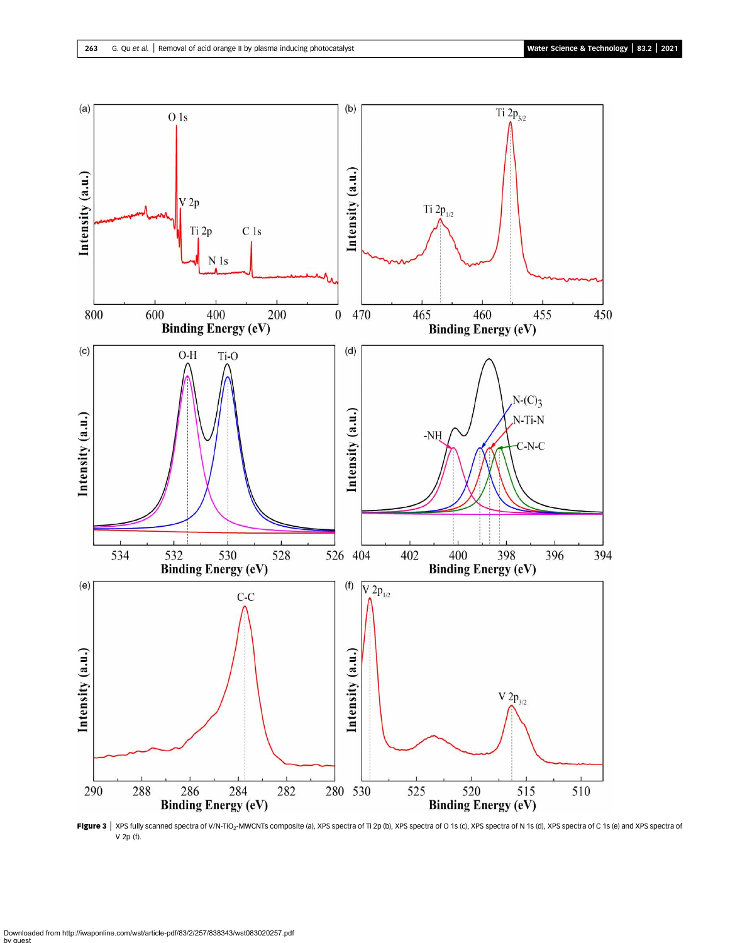<span id="page-6-0"></span>

Figure 3 | XPS fully scanned spectra of V/N-TiO<sub>2</sub>-MWCNTs composite (a), XPS spectra of Ti 2p (b), XPS spectra of O 1s (c), XPS spectra of N 1s (d), XPS spectra of C 1s (e) and XPS spectra of V 2p (f).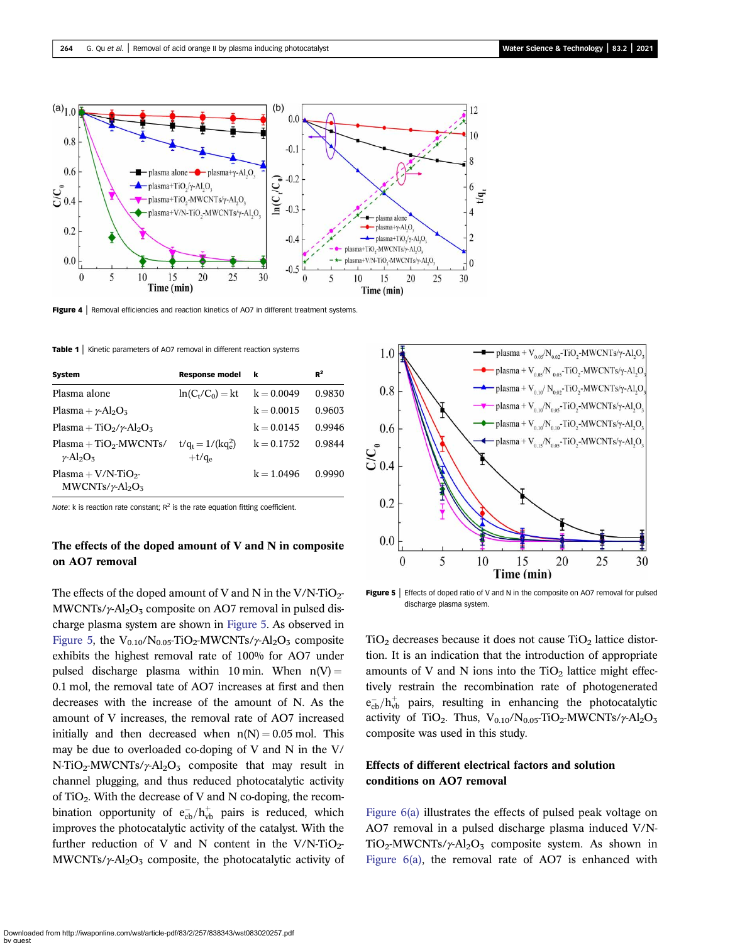<span id="page-7-0"></span>![](_page_7_Figure_2.jpeg)

Figure 4 | Removal efficiencies and reaction kinetics of AO7 in different treatment systems.

Table 1 | Kinetic parameters of AO7 removal in different reaction systems

| System                                                                                | <b>Response model</b>            | k            | $R^2$  |
|---------------------------------------------------------------------------------------|----------------------------------|--------------|--------|
| Plasma alone                                                                          | $ln(C_t/C_0) = kt$               | $k = 0.0049$ | 0.9830 |
| Plasma + $\nu$ -Al <sub>2</sub> O <sub>3</sub>                                        |                                  | $k = 0.0015$ | 0.9603 |
| Plasma + TiO <sub>2</sub> / $\gamma$ -Al <sub>2</sub> O <sub>3</sub>                  |                                  | $k = 0.0145$ | 0.9946 |
| $Plasma + TiO2-MWCNTs/$<br>$\gamma$ -Al <sub>2</sub> O <sub>3</sub>                   | $t/q_t = 1/(kq_e^2)$<br>$+t/q_e$ | $k = 0.1752$ | 0.9844 |
| Plasma + $V/N$ -TiO <sub>2</sub> -<br>$MWCNTs/\gamma$ -Al <sub>2</sub> O <sub>3</sub> |                                  | $k = 1.0496$ | 0.9990 |

Note: k is reaction rate constant;  $R^2$  is the rate equation fitting coefficient.

## The effects of the doped amount of V and N in composite on AO7 removal

The effects of the doped amount of V and N in the V/N-TiO<sub>2</sub>-MWCNTs/ $\gamma$ -Al<sub>2</sub>O<sub>3</sub> composite on AO7 removal in pulsed discharge plasma system are shown in Figure 5. As observed in Figure 5, the  $V_{0.10}/N_{0.05}$ -TiO<sub>2</sub>-MWCNTs/ $\gamma$ -Al<sub>2</sub>O<sub>3</sub> composite exhibits the highest removal rate of 100% for AO7 under pulsed discharge plasma within 10 min. When  $n(V) =$ 0.1 mol, the removal tate of AO7 increases at first and then decreases with the increase of the amount of N. As the amount of V increases, the removal rate of AO7 increased initially and then decreased when  $n(N) = 0.05$  mol. This may be due to overloaded co-doping of V and N in the V/ N-TiO<sub>2</sub>-MWCNTs/ $\gamma$ -Al<sub>2</sub>O<sub>3</sub> composite that may result in channel plugging, and thus reduced photocatalytic activity of TiO2. With the decrease of V and N co-doping, the recombination opportunity of  $e_{cb}^-/h_{vb}^+$  pairs is reduced, which improves the photocatalytic activity of the catalyst. With the further reduction of V and N content in the  $V/N$ -TiO<sub>2</sub>-MWCNTs/ $\gamma$ -Al<sub>2</sub>O<sub>3</sub> composite, the photocatalytic activity of

![](_page_7_Figure_9.jpeg)

Figure  $5$  | Effects of doped ratio of V and N in the composite on AO7 removal for pulsed discharge plasma system.

 $TiO<sub>2</sub>$  decreases because it does not cause  $TiO<sub>2</sub>$  lattice distortion. It is an indication that the introduction of appropriate amounts of V and N ions into the  $TiO<sub>2</sub>$  lattice might effectively restrain the recombination rate of photogenerated  $e_{cb}^-/h_{vb}^+$  pairs, resulting in enhancing the photocatalytic activity of TiO<sub>2</sub>. Thus, V<sub>0.10</sub>/N<sub>0.05</sub>-TiO<sub>2</sub>-MWCNTs/ $\gamma$ -Al<sub>2</sub>O<sub>3</sub> composite was used in this study.

### Effects of different electrical factors and solution conditions on AO7 removal

[Figure 6\(a\)](#page-8-0) illustrates the effects of pulsed peak voltage on AO7 removal in a pulsed discharge plasma induced V/N-TiO<sub>2</sub>-MWCNTs/ $\gamma$ -Al<sub>2</sub>O<sub>3</sub> composite system. As shown in Figure  $6(a)$ , the removal rate of AO7 is enhanced with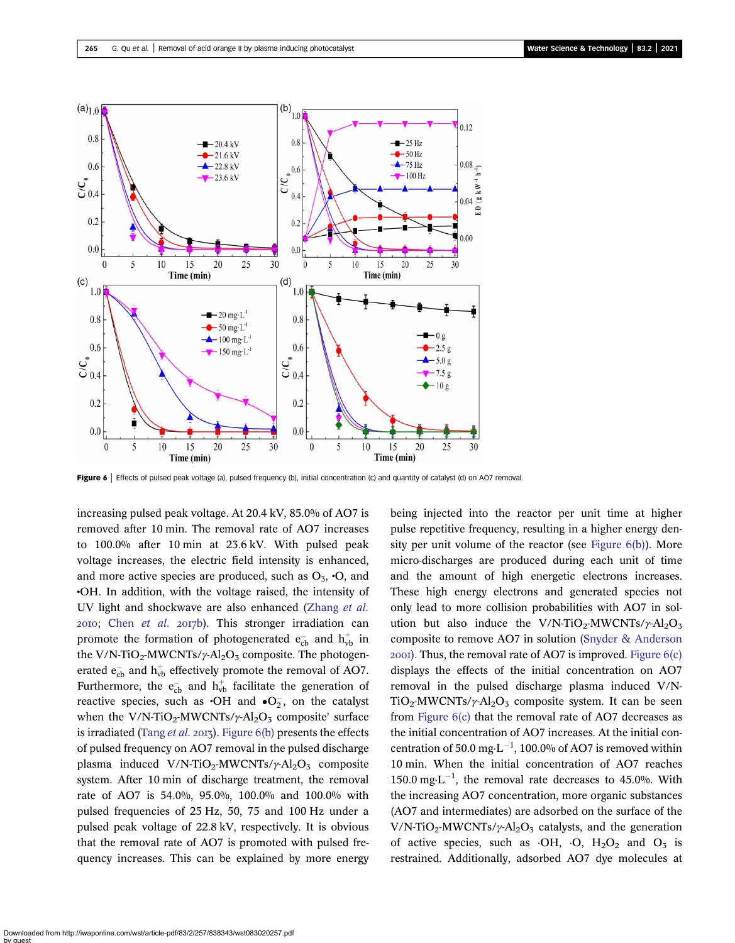<span id="page-8-0"></span>![](_page_8_Figure_2.jpeg)

Figure 6 | Effects of pulsed peak voltage (a), pulsed frequency (b), initial concentration (c) and quantity of catalyst (d) on AO7 removal.

increasing pulsed peak voltage. At 20.4 kV, 85.0% of AO7 is removed after 10 min. The removal rate of AO7 increases to 100.0% after 10 min at 23.6 kV. With pulsed peak voltage increases, the electric field intensity is enhanced, and more active species are produced, such as  $O_3$ ,  $\cdot O$ , and •OH. In addition, with the voltage raised, the intensity of UV light and shockwave are also enhanced ([Zhang](#page-13-0) et al.  $20I0$ ; Chen [et al.](#page-12-0)  $20I7b$ ). This stronger irradiation can promote the formation of photogenerated  $e_{cb}^-$  and  $h_{vb}^+$  in the V/N-TiO<sub>2</sub>-MWCNTs/ $\gamma$ -Al<sub>2</sub>O<sub>3</sub> composite. The photogenerated  $e_{cb}^-$  and  $h_{vb}^+$  effectively promote the removal of AO7. Furthermore, the  $e_{cb}^-$  and  $h_{vb}^+$  facilitate the generation of reactive species, such as  $\cdot$ OH and  $\cdot$ O<sub>2</sub>, on the catalyst when the V/N-TiO<sub>2</sub>-MWCNTs/ $\gamma$ -Al<sub>2</sub>O<sub>3</sub> composite' surface is irradiated ([Tang](#page-13-0) *et al.* 2013). Figure  $6(b)$  presents the effects of pulsed frequency on AO7 removal in the pulsed discharge plasma induced V/N-TiO<sub>2</sub>-MWCNTs/ $\gamma$ -Al<sub>2</sub>O<sub>3</sub> composite system. After 10 min of discharge treatment, the removal rate of AO7 is 54.0%, 95.0%, 100.0% and 100.0% with pulsed frequencies of 25 Hz, 50, 75 and 100 Hz under a pulsed peak voltage of 22.8 kV, respectively. It is obvious that the removal rate of AO7 is promoted with pulsed frequency increases. This can be explained by more energy being injected into the reactor per unit time at higher pulse repetitive frequency, resulting in a higher energy density per unit volume of the reactor (see Figure 6(b)). More micro-discharges are produced during each unit of time and the amount of high energetic electrons increases. These high energy electrons and generated species not only lead to more collision probabilities with AO7 in solution but also induce the V/N-TiO<sub>2</sub>-MWCNTs/ $\gamma$ -Al<sub>2</sub>O<sub>3</sub> composite to remove AO7 in solution [\(Snyder & Anderson](#page-13-0)  $200I$ ). Thus, the removal rate of AO7 is improved. Figure  $6(c)$ displays the effects of the initial concentration on AO7 removal in the pulsed discharge plasma induced V/N-TiO<sub>2</sub>-MWCNTs/ $\gamma$ -Al<sub>2</sub>O<sub>3</sub> composite system. It can be seen from Figure 6(c) that the removal rate of AO7 decreases as the initial concentration of AO7 increases. At the initial concentration of 50.0 mg $\cdot$ L<sup>-1</sup>, 100.0% of AO7 is removed within 10 min. When the initial concentration of AO7 reaches 150.0 mg $\cdot$ L<sup>-1</sup>, the removal rate decreases to 45.0%. With the increasing AO7 concentration, more organic substances (AO7 and intermediates) are adsorbed on the surface of the V/N-TiO<sub>2</sub>-MWCNTs/ $\gamma$ -Al<sub>2</sub>O<sub>3</sub> catalysts, and the generation of active species, such as  $\cdot$ OH,  $\cdot$ O, H<sub>2</sub>O<sub>2</sub> and O<sub>3</sub> is restrained. Additionally, adsorbed AO7 dye molecules at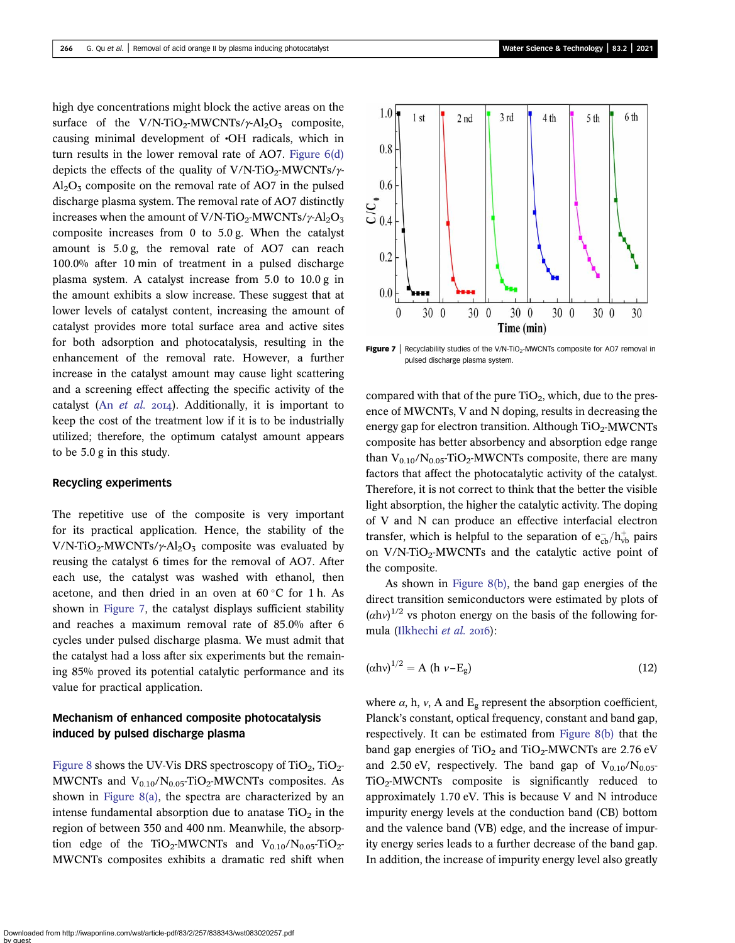high dye concentrations might block the active areas on the surface of the V/N-TiO<sub>2</sub>-MWCNTs/ $\gamma$ -Al<sub>2</sub>O<sub>3</sub> composite, causing minimal development of •OH radicals, which in turn results in the lower removal rate of AO7. [Figure 6\(d\)](#page-8-0) depicts the effects of the quality of V/N-TiO<sub>2</sub>-MWCNTs/ $\gamma$ - $Al<sub>2</sub>O<sub>3</sub>$  composite on the removal rate of AO7 in the pulsed discharge plasma system. The removal rate of AO7 distinctly increases when the amount of V/N-TiO<sub>2</sub>-MWCNTs/ $\gamma$ -Al<sub>2</sub>O<sub>3</sub> composite increases from 0 to 5.0 g. When the catalyst amount is 5.0 g, the removal rate of AO7 can reach 100.0% after 10 min of treatment in a pulsed discharge plasma system. A catalyst increase from 5.0 to 10.0 g in the amount exhibits a slow increase. These suggest that at lower levels of catalyst content, increasing the amount of catalyst provides more total surface area and active sites for both adsorption and photocatalysis, resulting in the enhancement of the removal rate. However, a further increase in the catalyst amount may cause light scattering and a screening effect affecting the specific activity of the catalyst (An  $et$  al.  $20I4$ ). Additionally, it is important to keep the cost of the treatment low if it is to be industrially utilized; therefore, the optimum catalyst amount appears to be 5.0 g in this study.

#### Recycling experiments

The repetitive use of the composite is very important for its practical application. Hence, the stability of the V/N-TiO<sub>2</sub>-MWCNTs/ $\gamma$ -Al<sub>2</sub>O<sub>3</sub> composite was evaluated by reusing the catalyst 6 times for the removal of AO7. After each use, the catalyst was washed with ethanol, then acetone, and then dried in an oven at  $60^{\circ}$ C for 1 h. As shown in Figure 7, the catalyst displays sufficient stability and reaches a maximum removal rate of 85.0% after 6 cycles under pulsed discharge plasma. We must admit that the catalyst had a loss after six experiments but the remaining 85% proved its potential catalytic performance and its value for practical application.

## Mechanism of enhanced composite photocatalysis induced by pulsed discharge plasma

[Figure 8](#page-10-0) shows the UV-Vis DRS spectroscopy of  $TiO<sub>2</sub>$ ,  $TiO<sub>2</sub>$ MWCNTs and  $V_{0.10}/N_{0.05}$ -TiO<sub>2</sub>-MWCNTs composites. As shown in [Figure 8\(a\)](#page-10-0), the spectra are characterized by an intense fundamental absorption due to anatase  $TiO<sub>2</sub>$  in the region of between 350 and 400 nm. Meanwhile, the absorption edge of the TiO<sub>2</sub>-MWCNTs and  $V_{0.10}/N_{0.05}$ -TiO<sub>2</sub>-MWCNTs composites exhibits a dramatic red shift when

![](_page_9_Figure_7.jpeg)

**Figure 7** Recyclability studies of the V/N-TiO<sub>2</sub>-MWCNTs composite for AO7 removal in pulsed discharge plasma system.

compared with that of the pure  $TiO<sub>2</sub>$ , which, due to the presence of MWCNTs, V and N doping, results in decreasing the energy gap for electron transition. Although  $TiO<sub>2</sub>-W/CNTs$ composite has better absorbency and absorption edge range than  $V_{0.10}/N_{0.05}$ -TiO<sub>2</sub>-MWCNTs composite, there are many factors that affect the photocatalytic activity of the catalyst. Therefore, it is not correct to think that the better the visible light absorption, the higher the catalytic activity. The doping of V and N can produce an effective interfacial electron transfer, which is helpful to the separation of  $e_{cb}^-/h_{vb}^+$  pairs on  $V/N$ -TiO<sub>2</sub>-MWCNTs and the catalytic active point of the composite.

As shown in [Figure 8\(b\),](#page-10-0) the band gap energies of the direct transition semiconductors were estimated by plots of  $(\alpha h v)^{1/2}$  vs photon energy on the basis of the following for-mula ([Ilkhechi](#page-12-0) et al. 2016):

$$
(\alpha h\nu)^{1/2} = A \quad (h \quad \nu - E_g) \tag{12}
$$

where  $\alpha$ , h,  $\nu$ , A and E<sub>g</sub> represent the absorption coefficient, Planck's constant, optical frequency, constant and band gap, respectively. It can be estimated from [Figure 8\(b\)](#page-10-0) that the band gap energies of  $TiO<sub>2</sub>$  and  $TiO<sub>2</sub>-MWCNTs$  are 2.76 eV and 2.50 eV, respectively. The band gap of  $V_{0.10}/N_{0.05}$  $TiO<sub>2</sub>$ -MWCNTs composite is significantly reduced to approximately 1.70 eV. This is because V and N introduce impurity energy levels at the conduction band (CB) bottom and the valence band (VB) edge, and the increase of impurity energy series leads to a further decrease of the band gap. In addition, the increase of impurity energy level also greatly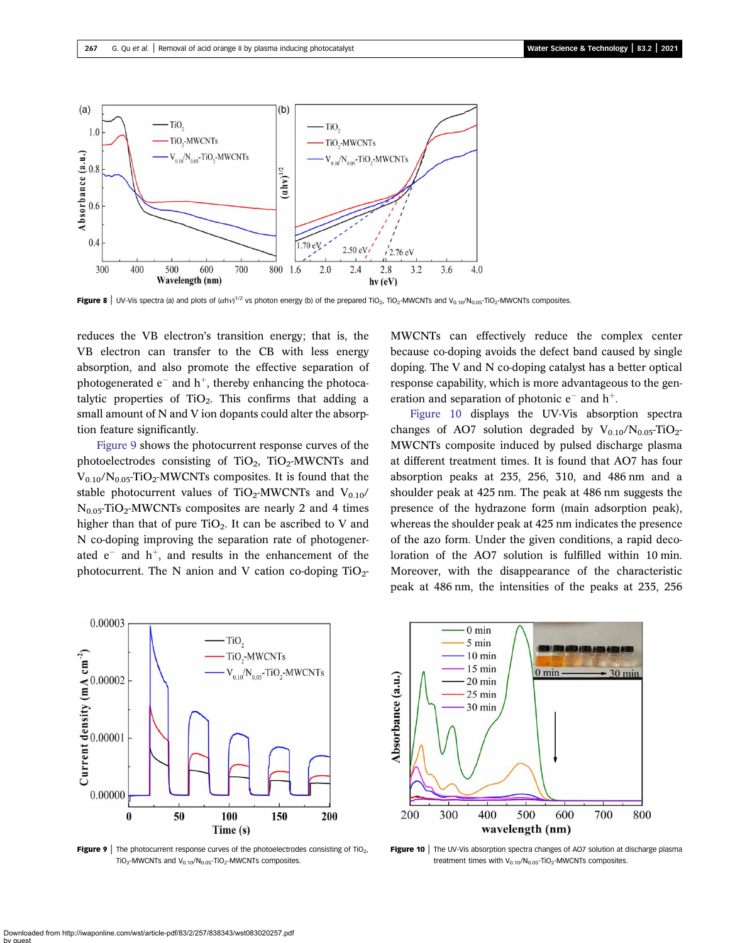<span id="page-10-0"></span>![](_page_10_Figure_2.jpeg)

**Figure 8** | UV-Vis spectra (a) and plots of ( $\alpha$ hv)<sup>1/2</sup> vs photon energy (b) of the prepared TiO<sub>2</sub>, TiO<sub>2</sub>-MWCNTs and V<sub>0.10</sub>/N<sub>0.05</sub>-TiO<sub>2</sub>-MWCNTs composites.

reduces the VB electron's transition energy; that is, the VB electron can transfer to the CB with less energy absorption, and also promote the effective separation of photogenerated  $e^-$  and  $h^+$ , thereby enhancing the photocatalytic properties of  $TiO<sub>2</sub>$ . This confirms that adding a small amount of N and V ion dopants could alter the absorption feature significantly.

Figure 9 shows the photocurrent response curves of the photoelectrodes consisting of  $TiO<sub>2</sub>$ ,  $TiO<sub>2</sub>$ -MWCNTs and  $V_{0.10}/N_{0.05}$ -TiO<sub>2</sub>-MWCNTs composites. It is found that the stable photocurrent values of  $TiO<sub>2</sub>-MWCNTs$  and  $V<sub>0.10</sub>/$  $N_{0.05}$ -TiO<sub>2</sub>-MWCNTs composites are nearly 2 and 4 times higher than that of pure  $TiO<sub>2</sub>$ . It can be ascribed to V and N co-doping improving the separation rate of photogenerated  $e^-$  and  $h^+$ , and results in the enhancement of the photocurrent. The N anion and V cation co-doping  $TiO<sub>2</sub>$ - MWCNTs can effectively reduce the complex center because co-doping avoids the defect band caused by single doping. The V and N co-doping catalyst has a better optical response capability, which is more advantageous to the generation and separation of photonic  $e^-$  and  $h^+$ .

Figure 10 displays the UV-Vis absorption spectra changes of AO7 solution degraded by  $V_{0.10}/N_{0.05}$ -TiO<sub>2</sub>-MWCNTs composite induced by pulsed discharge plasma at different treatment times. It is found that AO7 has four absorption peaks at 235, 256, 310, and 486 nm and a shoulder peak at 425 nm. The peak at 486 nm suggests the presence of the hydrazone form (main adsorption peak), whereas the shoulder peak at 425 nm indicates the presence of the azo form. Under the given conditions, a rapid decoloration of the AO7 solution is fulfilled within 10 min. Moreover, with the disappearance of the characteristic peak at 486 nm, the intensities of the peaks at 235, 256

![](_page_10_Figure_8.jpeg)

**Figure 9** The photocurrent response curves of the photoelectrodes consisting of TiO<sub>2</sub>.  $TiO<sub>2</sub>$ -MWCNTs and  $V<sub>0.10</sub>/N<sub>0.05</sub>$ -TiO<sub>2</sub>-MWCNTs composites.

![](_page_10_Figure_10.jpeg)

**Figure 10** | The UV-Vis absorption spectra changes of AO7 solution at discharge plasma treatment times with  $V_{0.10}/N_{0.05}$ -TiO<sub>2</sub>-MWCNTs composites.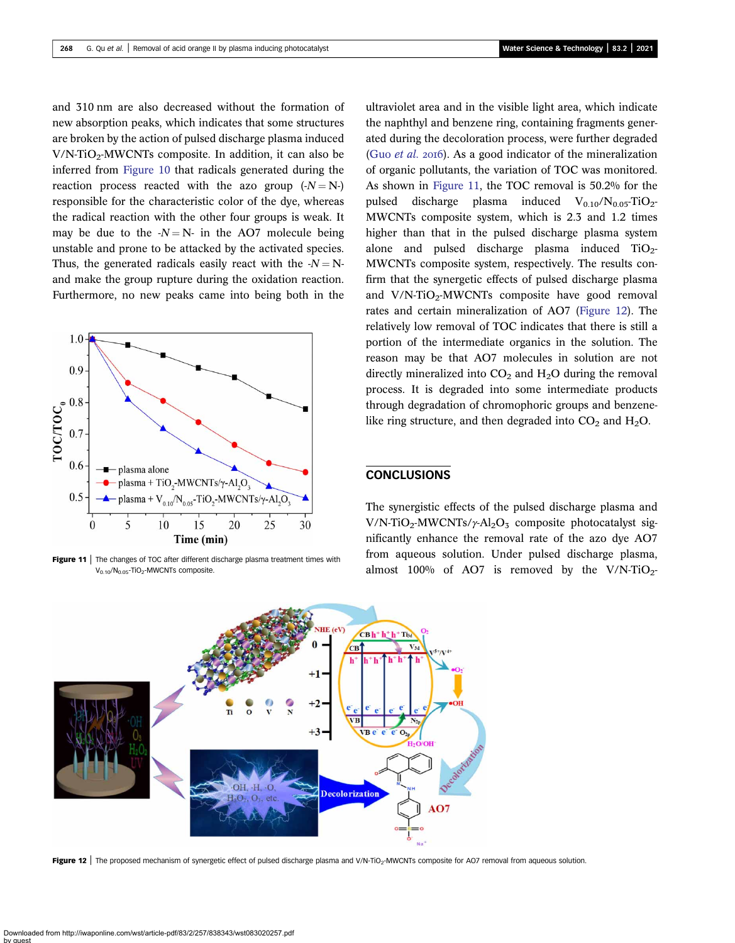and 310 nm are also decreased without the formation of new absorption peaks, which indicates that some structures are broken by the action of pulsed discharge plasma induced  $V/N$ -TiO<sub>2</sub>-MWCNTs composite. In addition, it can also be inferred from [Figure 10](#page-10-0) that radicals generated during the reaction process reacted with the azo group  $(-N = N-)$ responsible for the characteristic color of the dye, whereas the radical reaction with the other four groups is weak. It may be due to the  $-N=N$ - in the AO7 molecule being unstable and prone to be attacked by the activated species. Thus, the generated radicals easily react with the  $-N = N$ and make the group rupture during the oxidation reaction. Furthermore, no new peaks came into being both in the

![](_page_11_Figure_3.jpeg)

Figure 11 | The changes of TOC after different discharge plasma treatment times with V<sub>0.10</sub>/N<sub>0.05</sub>-TiO<sub>2</sub>-MWCNTs composite

ultraviolet area and in the visible light area, which indicate the naphthyl and benzene ring, containing fragments generated during the decoloration process, were further degraded (Guo *[et al.](#page-12-0)* 2016). As a good indicator of the mineralization of organic pollutants, the variation of TOC was monitored. As shown in Figure 11, the TOC removal is 50.2% for the pulsed discharge plasma induced  $V_{0.10}/N_{0.05}$ -TiO<sub>2</sub>-MWCNTs composite system, which is 2.3 and 1.2 times higher than that in the pulsed discharge plasma system alone and pulsed discharge plasma induced  $TiO<sub>2</sub>$ -MWCNTs composite system, respectively. The results confirm that the synergetic effects of pulsed discharge plasma and  $V/N-TiO<sub>2</sub>-MWCNTs$  composite have good removal rates and certain mineralization of AO7 (Figure 12). The relatively low removal of TOC indicates that there is still a portion of the intermediate organics in the solution. The reason may be that AO7 molecules in solution are not directly mineralized into  $CO<sub>2</sub>$  and  $H<sub>2</sub>O$  during the removal process. It is degraded into some intermediate products through degradation of chromophoric groups and benzenelike ring structure, and then degraded into  $CO<sub>2</sub>$  and  $H<sub>2</sub>O$ .

### **CONCLUSIONS**

The synergistic effects of the pulsed discharge plasma and V/N-TiO<sub>2</sub>-MWCNTs/ $\gamma$ -Al<sub>2</sub>O<sub>3</sub> composite photocatalyst significantly enhance the removal rate of the azo dye AO7 from aqueous solution. Under pulsed discharge plasma, almost 100% of AO7 is removed by the  $V/N$ -TiO<sub>2</sub>-

![](_page_11_Figure_8.jpeg)

Figure 12 | The proposed mechanism of synergetic effect of pulsed discharge plasma and V/N-TiO<sub>2</sub>-MWCNTs composite for AO7 removal from aqueous solution.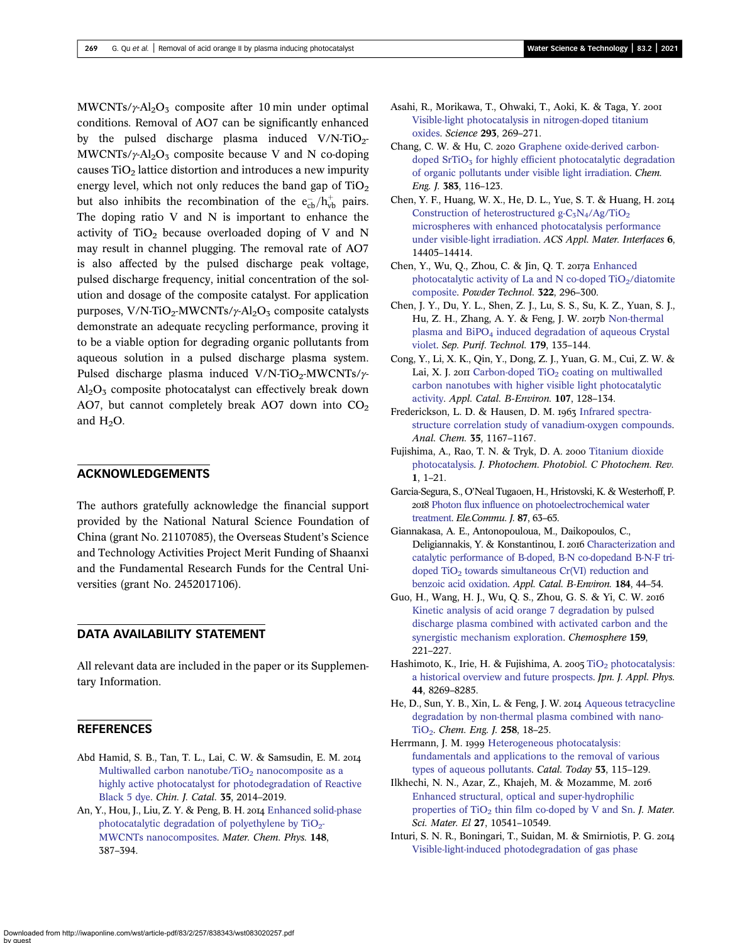<span id="page-12-0"></span>MWCNTs/ $\gamma$ -Al<sub>2</sub>O<sub>3</sub> composite after 10 min under optimal conditions. Removal of AO7 can be significantly enhanced by the pulsed discharge plasma induced  $V/N-TiO<sub>2</sub>$ -MWCNTs/ $\gamma$ -Al<sub>2</sub>O<sub>3</sub> composite because V and N co-doping causes  $TiO<sub>2</sub>$  lattice distortion and introduces a new impurity energy level, which not only reduces the band gap of  $TiO<sub>2</sub>$ but also inhibits the recombination of the  $e_{cb}^-/h_{vb}^+$  pairs. The doping ratio V and N is important to enhance the activity of  $TiO<sub>2</sub>$  because overloaded doping of V and N may result in channel plugging. The removal rate of AO7 is also affected by the pulsed discharge peak voltage, pulsed discharge frequency, initial concentration of the solution and dosage of the composite catalyst. For application purposes,  $V/N$ -TiO<sub>2</sub>-MWCNTs/ $\gamma$ -Al<sub>2</sub>O<sub>3</sub> composite catalysts demonstrate an adequate recycling performance, proving it to be a viable option for degrading organic pollutants from aqueous solution in a pulsed discharge plasma system. Pulsed discharge plasma induced V/N-TiO<sub>2</sub>-MWCNTs/ $\gamma$ - $Al_2O_3$  composite photocatalyst can effectively break down AO7, but cannot completely break AO7 down into  $CO<sub>2</sub>$ and  $H_2O$ .

### ACKNOWLEDGEMENTS

The authors gratefully acknowledge the financial support provided by the National Natural Science Foundation of China (grant No. 21107085), the Overseas Student's Science and Technology Activities Project Merit Funding of Shaanxi and the Fundamental Research Funds for the Central Universities (grant No. 2452017106).

### DATA AVAILABILITY STATEMENT

All relevant data are included in the paper or its Supplementary Information.

### REFERENCES

- Abd Hamid, S. B., Tan, T. L., Lai, C. W. & Samsudin, E. M. Multiwalled carbon nanotube/TiO<sub>2</sub> [nanocomposite as a](http://dx.doi.org/10.1016/S1872-2067(14)60210-2) [highly active photocatalyst for photodegradation of Reactive](http://dx.doi.org/10.1016/S1872-2067(14)60210-2) [Black 5 dye.](http://dx.doi.org/10.1016/S1872-2067(14)60210-2) Chin. J. Catal. 35, 2014–2019.
- An, Y., Hou, J., Liu, Z. Y. & Peng, B. H. 2014 [Enhanced solid-phase](http://dx.doi.org/10.1016/j.matchemphys.2014.08.001) photocatalytic degradation of polyethylene by  $TiO<sub>2</sub>$ -[MWCNTs nanocomposites.](http://dx.doi.org/10.1016/j.matchemphys.2014.08.001) Mater. Chem. Phys. 148, 387–394.
- Asahi, R., Morikawa, T., Ohwaki, T., Aoki, K. & Taga, Y. [Visible-light photocatalysis in nitrogen-doped titanium](http://dx.doi.org/10.1126/science.1061051) [oxides.](http://dx.doi.org/10.1126/science.1061051) Science 293, 269–271.
- Chang, C. W. & Hu, C. 2020 [Graphene oxide-derived carbon](http://dx.doi.org/10.1016/j.cej.2019.123116)doped  $SrTiO<sub>3</sub>$  [for highly efficient photocatalytic degradation](http://dx.doi.org/10.1016/j.cej.2019.123116) [of organic pollutants under visible light irradiation](http://dx.doi.org/10.1016/j.cej.2019.123116). Chem. Eng. J. 383, 116–123.
- Chen, Y. F., Huang, W. X., He, D. L., Yue, S. T. & Huang, H. Construction of heterostructured g- $C_3N_4/Ag/TiO_2$ [microspheres with enhanced photocatalysis performance](http://dx.doi.org/10.1021/am503674e) [under visible-light irradiation.](http://dx.doi.org/10.1021/am503674e) ACS Appl. Mater. Interfaces 6, 14405–14414.
- Chen, Y., Wu, Q., Zhou, C. & Jin, Q. T. 2017a [Enhanced](http://dx.doi.org/10.1016/j.powtec.2017.09.026) photocatalytic activity of La and N co-doped  $TiO<sub>2</sub>/diatomic$ [composite.](http://dx.doi.org/10.1016/j.powtec.2017.09.026) Powder Technol. 322, 296–300.
- Chen, J. Y., Du, Y. L., Shen, Z. J., Lu, S. S., Su, K. Z., Yuan, S. J., Hu, Z. H., Zhang, A. Y. & Feng, J. W. 2017b [Non-thermal](http://dx.doi.org/10.1016/j.seppur.2017.02.007) plasma and BiPO<sub>4</sub> [induced degradation of aqueous Crystal](http://dx.doi.org/10.1016/j.seppur.2017.02.007) [violet.](http://dx.doi.org/10.1016/j.seppur.2017.02.007) Sep. Purif. Technol. 179, 135–144.
- Cong, Y., Li, X. K., Qin, Y., Dong, Z. J., Yuan, G. M., Cui, Z. W. & Lai, X. J. 2011 Carbon-doped TiO<sub>2</sub> [coating on multiwalled](http://dx.doi.org/10.1016/j.apcatb.2011.07.005) [carbon nanotubes with higher visible light photocatalytic](http://dx.doi.org/10.1016/j.apcatb.2011.07.005) [activity.](http://dx.doi.org/10.1016/j.apcatb.2011.07.005) Appl. Catal. B-Environ. 107, 128–134.
- Frederickson, L. D. & Hausen, D. M. 1963 [Infrared spectra](http://dx.doi.org/10.1021/ac60202a024)[structure correlation study of vanadium-oxygen compounds](http://dx.doi.org/10.1021/ac60202a024). Anal. Chem. 35, 1167–1167.
- Fujishima, A., Rao, T. N. & Tryk, D. A. 2000 [Titanium dioxide](http://dx.doi.org/10.1016/S1389-5567(00)00002-2) [photocatalysis.](http://dx.doi.org/10.1016/S1389-5567(00)00002-2) J. Photochem. Photobiol. C Photochem. Rev. 1, 1–21.
- Garcia-Segura, S., O'Neal Tugaoen, H., Hristovski, K. & Westerhoff, P. 2018 [Photon flux influence on photoelectrochemical water](http://dx.doi.org/10.1016/j.elecom.2017.12.026) [treatment](http://dx.doi.org/10.1016/j.elecom.2017.12.026). Ele.Commu. J. 87, 63–65.
- Giannakasa, A. E., Antonopouloua, M., Daikopoulos, C., Deligiannakis, Y. & Konstantinou, I. 2016 [Characterization and](http://dx.doi.org/10.1016/j.apcatb.2015.11.009) [catalytic performance of B-doped, B-N co-dopedand B-N-F tri](http://dx.doi.org/10.1016/j.apcatb.2015.11.009)doped  $TiO<sub>2</sub>$  towards simultaneous  $Cr(VI)$  reduction and [benzoic acid oxidation](http://dx.doi.org/10.1016/j.apcatb.2015.11.009). Appl. Catal. B-Environ. 184, 44–54.
- Guo, H., Wang, H. J., Wu, Q. S., Zhou, G. S. & Yi, C. W. [Kinetic analysis of acid orange 7 degradation by pulsed](http://dx.doi.org/10.1016/j.chemosphere.2016.05.092) [discharge plasma combined with activated carbon and the](http://dx.doi.org/10.1016/j.chemosphere.2016.05.092) [synergistic mechanism exploration.](http://dx.doi.org/10.1016/j.chemosphere.2016.05.092) Chemosphere 159, 221–227.
- Hashimoto, K., Irie, H. & Fujishima, A. 2005 TiO<sub>2</sub> [photocatalysis:](http://dx.doi.org/10.1143/JJAP.44.8269) [a historical overview and future prospects.](http://dx.doi.org/10.1143/JJAP.44.8269) Jpn. J. Appl. Phys. 44, 8269–8285.
- He, D., Sun, Y. B., Xin, L. & Feng, J. W. 2014 [Aqueous tetracycline](http://dx.doi.org/10.1016/j.cej.2014.07.089) [degradation by non-thermal plasma combined with nano-](http://dx.doi.org/10.1016/j.cej.2014.07.089)[TiO2](http://dx.doi.org/10.1016/j.cej.2014.07.089). Chem. Eng. J. 258, 18–25.
- Herrmann, J. M. 1999 [Heterogeneous photocatalysis:](http://dx.doi.org/10.1016/S0920-5861(99)00107-8) [fundamentals and applications to the removal of various](http://dx.doi.org/10.1016/S0920-5861(99)00107-8) [types of aqueous pollutants.](http://dx.doi.org/10.1016/S0920-5861(99)00107-8) Catal. Today 53, 115–129.
- Ilkhechi, N. N., Azar, Z., Khajeh, M. & Mozamme, M. [Enhanced structural, optical and super-hydrophilic](http://dx.doi.org/10.1007/s10854-016-5147-4) properties of  $TiO<sub>2</sub>$  [thin film co-doped by V and Sn](http://dx.doi.org/10.1007/s10854-016-5147-4). J. Mater. Sci. Mater. El 27, 10541–10549.
- Inturi, S. N. R., Boningari, T., Suidan, M. & Smirniotis, P. G. [Visible-light-induced photodegradation of gas phase](http://dx.doi.org/10.1016/j.apcatb.2013.07.032)